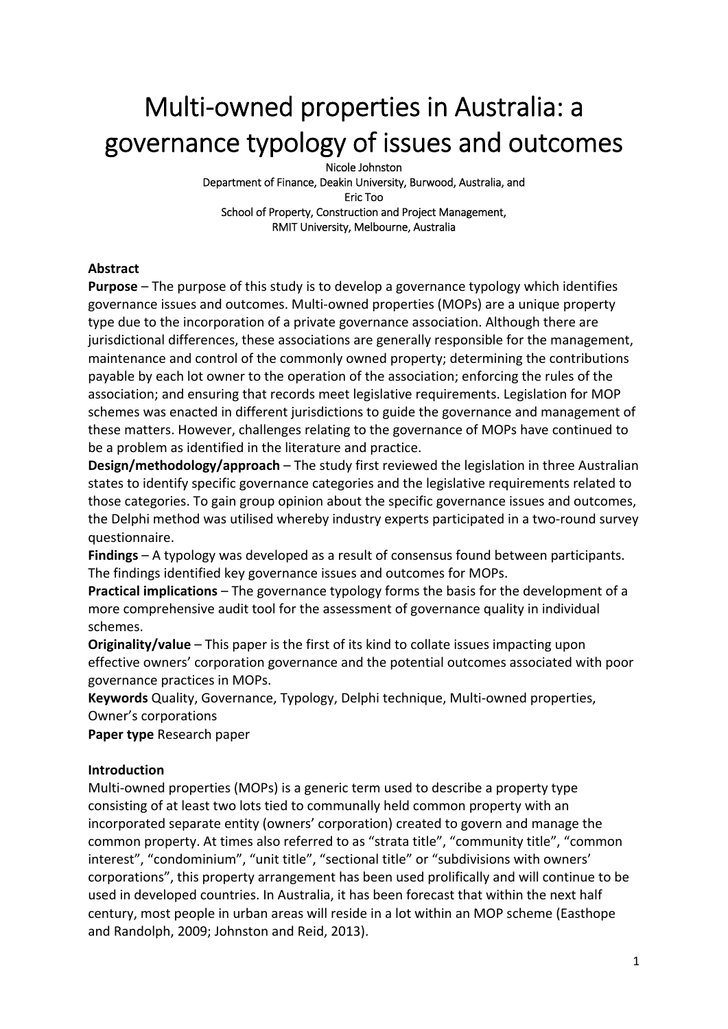# Multi‐owned properties in Australia: a governance typology of issues and outcomes

Nicole Johnston Department of Finance, Deakin University, Burwood, Australia, and Eric Too School of Property, Construction and Project Management, RMIT University, Melbourne, Australia

# **Abstract**

**Purpose** – The purpose of this study is to develop a governance typology which identifies governance issues and outcomes. Multi‐owned properties (MOPs) are a unique property type due to the incorporation of a private governance association. Although there are jurisdictional differences, these associations are generally responsible for the management, maintenance and control of the commonly owned property; determining the contributions payable by each lot owner to the operation of the association; enforcing the rules of the association; and ensuring that records meet legislative requirements. Legislation for MOP schemes was enacted in different jurisdictions to guide the governance and management of these matters. However, challenges relating to the governance of MOPs have continued to be a problem as identified in the literature and practice.

**Design/methodology/approach** – The study first reviewed the legislation in three Australian states to identify specific governance categories and the legislative requirements related to those categories. To gain group opinion about the specific governance issues and outcomes, the Delphi method was utilised whereby industry experts participated in a two-round survey questionnaire.

**Findings** – A typology was developed as a result of consensus found between participants. The findings identified key governance issues and outcomes for MOPs.

**Practical implications** – The governance typology forms the basis for the development of a more comprehensive audit tool for the assessment of governance quality in individual schemes.

**Originality/value** – This paper is the first of its kind to collate issues impacting upon effective owners' corporation governance and the potential outcomes associated with poor governance practices in MOPs.

**Keywords** Quality, Governance, Typology, Delphi technique, Multi-owned properties, Owner's corporations

**Paper type** Research paper

# **Introduction**

Multi‐owned properties (MOPs) is a generic term used to describe a property type consisting of at least two lots tied to communally held common property with an incorporated separate entity (owners' corporation) created to govern and manage the common property. At times also referred to as "strata title", "community title", "common interest", "condominium", "unit title", "sectional title" or "subdivisions with owners' corporations", this property arrangement has been used prolifically and will continue to be used in developed countries. In Australia, it has been forecast that within the next half century, most people in urban areas will reside in a lot within an MOP scheme (Easthope and Randolph, 2009; Johnston and Reid, 2013).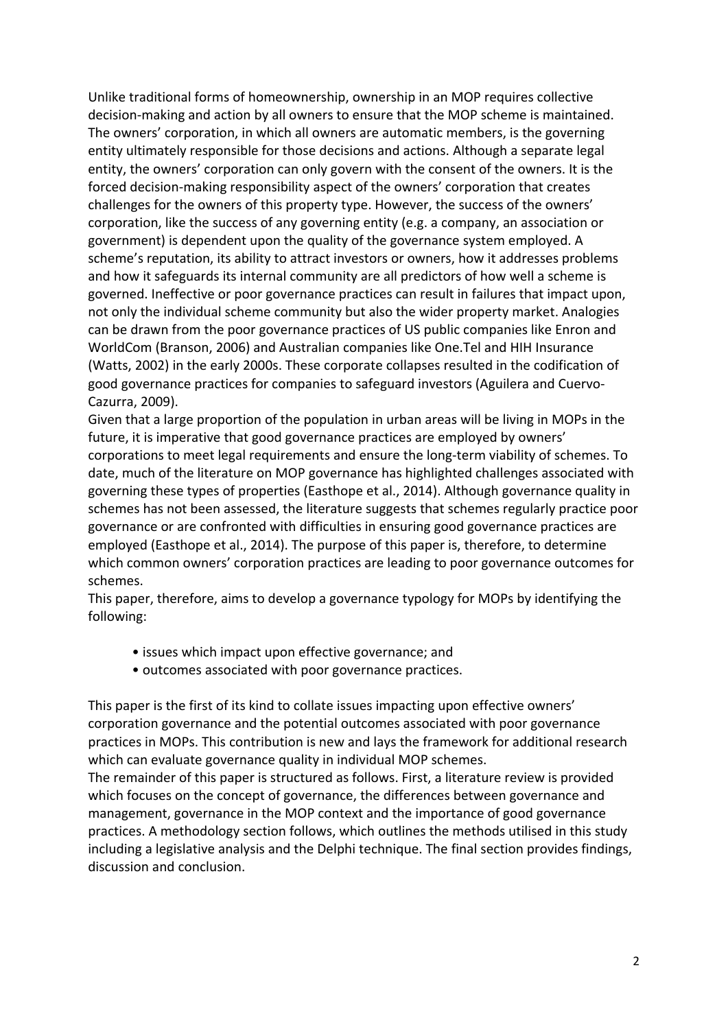Unlike traditional forms of homeownership, ownership in an MOP requires collective decision-making and action by all owners to ensure that the MOP scheme is maintained. The owners' corporation, in which all owners are automatic members, is the governing entity ultimately responsible for those decisions and actions. Although a separate legal entity, the owners' corporation can only govern with the consent of the owners. It is the forced decision‐making responsibility aspect of the owners' corporation that creates challenges for the owners of this property type. However, the success of the owners' corporation, like the success of any governing entity (e.g. a company, an association or government) is dependent upon the quality of the governance system employed. A scheme's reputation, its ability to attract investors or owners, how it addresses problems and how it safeguards its internal community are all predictors of how well a scheme is governed. Ineffective or poor governance practices can result in failures that impact upon, not only the individual scheme community but also the wider property market. Analogies can be drawn from the poor governance practices of US public companies like Enron and WorldCom (Branson, 2006) and Australian companies like One.Tel and HIH Insurance (Watts, 2002) in the early 2000s. These corporate collapses resulted in the codification of good governance practices for companies to safeguard investors (Aguilera and Cuervo‐ Cazurra, 2009).

Given that a large proportion of the population in urban areas will be living in MOPs in the future, it is imperative that good governance practices are employed by owners' corporations to meet legal requirements and ensure the long‐term viability of schemes. To date, much of the literature on MOP governance has highlighted challenges associated with governing these types of properties (Easthope et al., 2014). Although governance quality in schemes has not been assessed, the literature suggests that schemes regularly practice poor governance or are confronted with difficulties in ensuring good governance practices are employed (Easthope et al., 2014). The purpose of this paper is, therefore, to determine which common owners' corporation practices are leading to poor governance outcomes for schemes.

This paper, therefore, aims to develop a governance typology for MOPs by identifying the following:

- issues which impact upon effective governance; and
- outcomes associated with poor governance practices.

This paper is the first of its kind to collate issues impacting upon effective owners' corporation governance and the potential outcomes associated with poor governance practices in MOPs. This contribution is new and lays the framework for additional research which can evaluate governance quality in individual MOP schemes.

The remainder of this paper is structured as follows. First, a literature review is provided which focuses on the concept of governance, the differences between governance and management, governance in the MOP context and the importance of good governance practices. A methodology section follows, which outlines the methods utilised in this study including a legislative analysis and the Delphi technique. The final section provides findings, discussion and conclusion.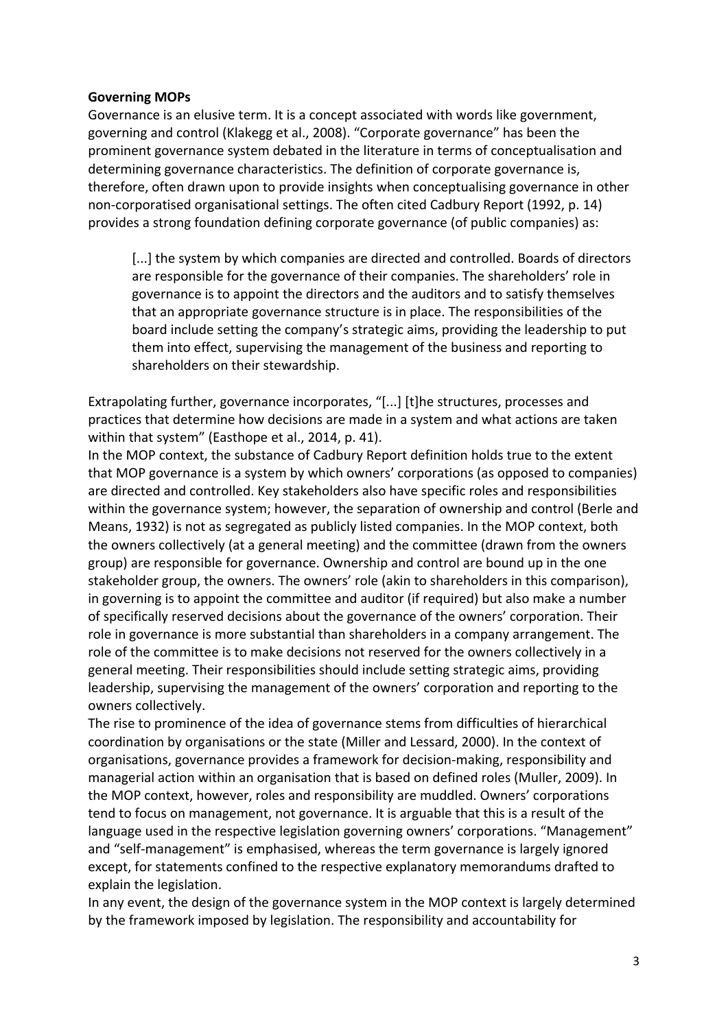## **Governing MOPs**

Governance is an elusive term. It is a concept associated with words like government, governing and control (Klakegg et al., 2008). "Corporate governance" has been the prominent governance system debated in the literature in terms of conceptualisation and determining governance characteristics. The definition of corporate governance is, therefore, often drawn upon to provide insights when conceptualising governance in other non‐corporatised organisational settings. The often cited Cadbury Report (1992, p. 14) provides a strong foundation defining corporate governance (of public companies) as:

[...] the system by which companies are directed and controlled. Boards of directors are responsible for the governance of their companies. The shareholders' role in governance is to appoint the directors and the auditors and to satisfy themselves that an appropriate governance structure is in place. The responsibilities of the board include setting the company's strategic aims, providing the leadership to put them into effect, supervising the management of the business and reporting to shareholders on their stewardship.

Extrapolating further, governance incorporates, "[...] [t]he structures, processes and practices that determine how decisions are made in a system and what actions are taken within that system" (Easthope et al., 2014, p. 41).

In the MOP context, the substance of Cadbury Report definition holds true to the extent that MOP governance is a system by which owners' corporations (as opposed to companies) are directed and controlled. Key stakeholders also have specific roles and responsibilities within the governance system; however, the separation of ownership and control (Berle and Means, 1932) is not as segregated as publicly listed companies. In the MOP context, both the owners collectively (at a general meeting) and the committee (drawn from the owners group) are responsible for governance. Ownership and control are bound up in the one stakeholder group, the owners. The owners' role (akin to shareholders in this comparison), in governing is to appoint the committee and auditor (if required) but also make a number of specifically reserved decisions about the governance of the owners' corporation. Their role in governance is more substantial than shareholders in a company arrangement. The role of the committee is to make decisions not reserved for the owners collectively in a general meeting. Their responsibilities should include setting strategic aims, providing leadership, supervising the management of the owners' corporation and reporting to the owners collectively.

The rise to prominence of the idea of governance stems from difficulties of hierarchical coordination by organisations or the state (Miller and Lessard, 2000). In the context of organisations, governance provides a framework for decision‐making, responsibility and managerial action within an organisation that is based on defined roles (Muller, 2009). In the MOP context, however, roles and responsibility are muddled. Owners' corporations tend to focus on management, not governance. It is arguable that this is a result of the language used in the respective legislation governing owners' corporations. "Management" and "self-management" is emphasised, whereas the term governance is largely ignored except, for statements confined to the respective explanatory memorandums drafted to explain the legislation.

In any event, the design of the governance system in the MOP context is largely determined by the framework imposed by legislation. The responsibility and accountability for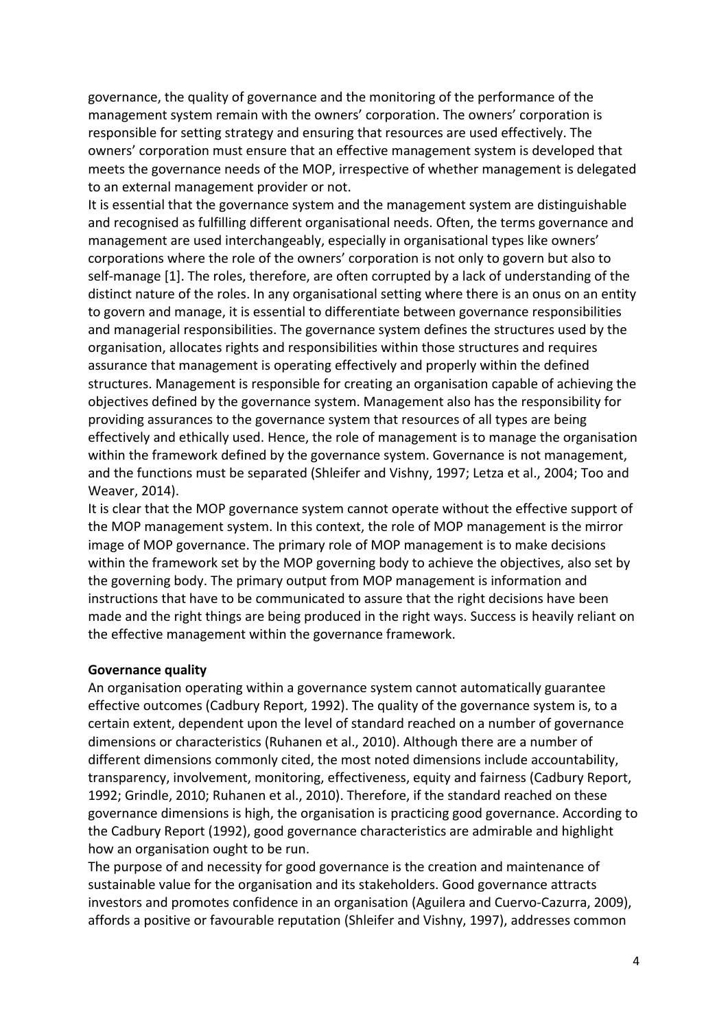governance, the quality of governance and the monitoring of the performance of the management system remain with the owners' corporation. The owners' corporation is responsible for setting strategy and ensuring that resources are used effectively. The owners' corporation must ensure that an effective management system is developed that meets the governance needs of the MOP, irrespective of whether management is delegated to an external management provider or not.

It is essential that the governance system and the management system are distinguishable and recognised as fulfilling different organisational needs. Often, the terms governance and management are used interchangeably, especially in organisational types like owners' corporations where the role of the owners' corporation is not only to govern but also to self-manage [1]. The roles, therefore, are often corrupted by a lack of understanding of the distinct nature of the roles. In any organisational setting where there is an onus on an entity to govern and manage, it is essential to differentiate between governance responsibilities and managerial responsibilities. The governance system defines the structures used by the organisation, allocates rights and responsibilities within those structures and requires assurance that management is operating effectively and properly within the defined structures. Management is responsible for creating an organisation capable of achieving the objectives defined by the governance system. Management also has the responsibility for providing assurances to the governance system that resources of all types are being effectively and ethically used. Hence, the role of management is to manage the organisation within the framework defined by the governance system. Governance is not management, and the functions must be separated (Shleifer and Vishny, 1997; Letza et al., 2004; Too and Weaver, 2014).

It is clear that the MOP governance system cannot operate without the effective support of the MOP management system. In this context, the role of MOP management is the mirror image of MOP governance. The primary role of MOP management is to make decisions within the framework set by the MOP governing body to achieve the objectives, also set by the governing body. The primary output from MOP management is information and instructions that have to be communicated to assure that the right decisions have been made and the right things are being produced in the right ways. Success is heavily reliant on the effective management within the governance framework.

## **Governance quality**

An organisation operating within a governance system cannot automatically guarantee effective outcomes (Cadbury Report, 1992). The quality of the governance system is, to a certain extent, dependent upon the level of standard reached on a number of governance dimensions or characteristics (Ruhanen et al., 2010). Although there are a number of different dimensions commonly cited, the most noted dimensions include accountability, transparency, involvement, monitoring, effectiveness, equity and fairness (Cadbury Report, 1992; Grindle, 2010; Ruhanen et al., 2010). Therefore, if the standard reached on these governance dimensions is high, the organisation is practicing good governance. According to the Cadbury Report (1992), good governance characteristics are admirable and highlight how an organisation ought to be run.

The purpose of and necessity for good governance is the creation and maintenance of sustainable value for the organisation and its stakeholders. Good governance attracts investors and promotes confidence in an organisation (Aguilera and Cuervo‐Cazurra, 2009), affords a positive or favourable reputation (Shleifer and Vishny, 1997), addresses common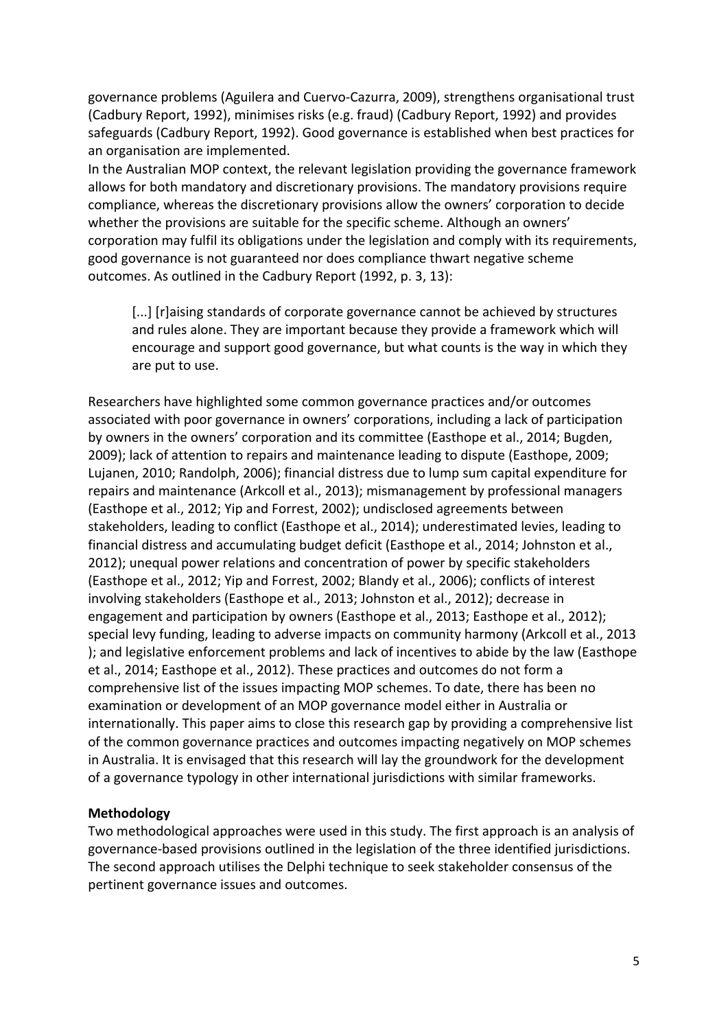governance problems (Aguilera and Cuervo‐Cazurra, 2009), strengthens organisational trust (Cadbury Report, 1992), minimises risks (e.g. fraud) (Cadbury Report, 1992) and provides safeguards (Cadbury Report, 1992). Good governance is established when best practices for an organisation are implemented.

In the Australian MOP context, the relevant legislation providing the governance framework allows for both mandatory and discretionary provisions. The mandatory provisions require compliance, whereas the discretionary provisions allow the owners' corporation to decide whether the provisions are suitable for the specific scheme. Although an owners' corporation may fulfil its obligations under the legislation and comply with its requirements, good governance is not guaranteed nor does compliance thwart negative scheme outcomes. As outlined in the Cadbury Report (1992, p. 3, 13):

[...] [r]aising standards of corporate governance cannot be achieved by structures and rules alone. They are important because they provide a framework which will encourage and support good governance, but what counts is the way in which they are put to use.

Researchers have highlighted some common governance practices and/or outcomes associated with poor governance in owners' corporations, including a lack of participation by owners in the owners' corporation and its committee (Easthope et al., 2014; Bugden, 2009); lack of attention to repairs and maintenance leading to dispute (Easthope, 2009; Lujanen, 2010; Randolph, 2006); financial distress due to lump sum capital expenditure for repairs and maintenance (Arkcoll et al., 2013); mismanagement by professional managers (Easthope et al., 2012; Yip and Forrest, 2002); undisclosed agreements between stakeholders, leading to conflict (Easthope et al., 2014); underestimated levies, leading to financial distress and accumulating budget deficit (Easthope et al., 2014; Johnston et al., 2012); unequal power relations and concentration of power by specific stakeholders (Easthope et al., 2012; Yip and Forrest, 2002; Blandy et al., 2006); conflicts of interest involving stakeholders (Easthope et al., 2013; Johnston et al., 2012); decrease in engagement and participation by owners (Easthope et al., 2013; Easthope et al., 2012); special levy funding, leading to adverse impacts on community harmony (Arkcoll et al., 2013 ); and legislative enforcement problems and lack of incentives to abide by the law (Easthope et al., 2014; Easthope et al., 2012). These practices and outcomes do not form a comprehensive list of the issues impacting MOP schemes. To date, there has been no examination or development of an MOP governance model either in Australia or internationally. This paper aims to close this research gap by providing a comprehensive list of the common governance practices and outcomes impacting negatively on MOP schemes in Australia. It is envisaged that this research will lay the groundwork for the development of a governance typology in other international jurisdictions with similar frameworks.

## **Methodology**

Two methodological approaches were used in this study. The first approach is an analysis of governance‐based provisions outlined in the legislation of the three identified jurisdictions. The second approach utilises the Delphi technique to seek stakeholder consensus of the pertinent governance issues and outcomes.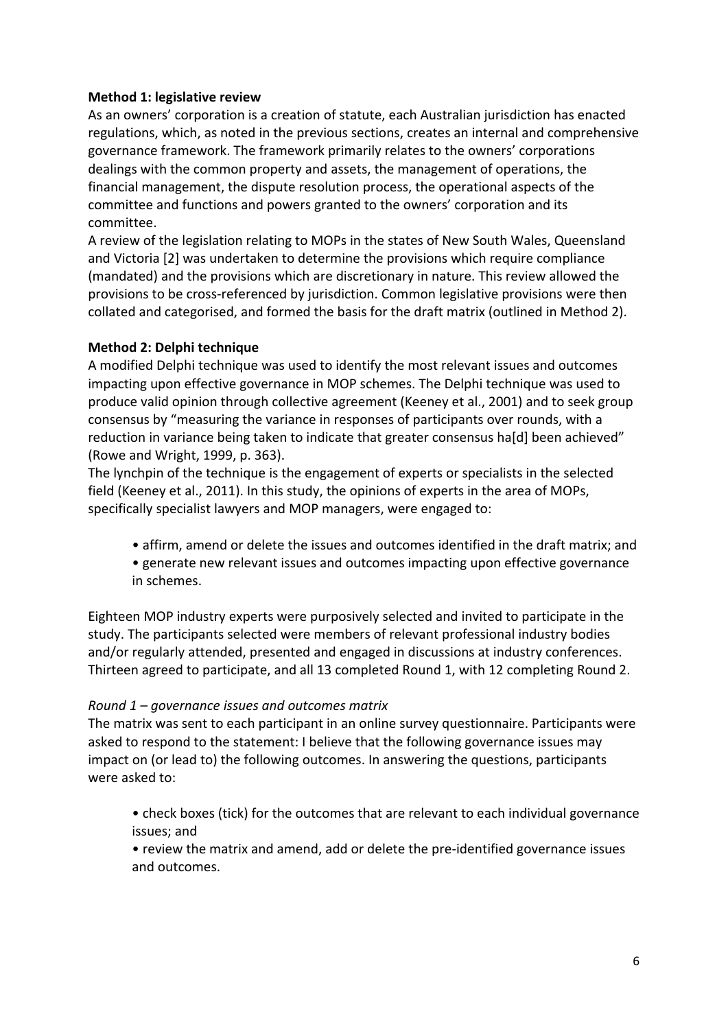# **Method 1: legislative review**

As an owners' corporation is a creation of statute, each Australian jurisdiction has enacted regulations, which, as noted in the previous sections, creates an internal and comprehensive governance framework. The framework primarily relates to the owners' corporations dealings with the common property and assets, the management of operations, the financial management, the dispute resolution process, the operational aspects of the committee and functions and powers granted to the owners' corporation and its committee.

A review of the legislation relating to MOPs in the states of New South Wales, Queensland and Victoria [2] was undertaken to determine the provisions which require compliance (mandated) and the provisions which are discretionary in nature. This review allowed the provisions to be cross‐referenced by jurisdiction. Common legislative provisions were then collated and categorised, and formed the basis for the draft matrix (outlined in Method 2).

# **Method 2: Delphi technique**

A modified Delphi technique was used to identify the most relevant issues and outcomes impacting upon effective governance in MOP schemes. The Delphi technique was used to produce valid opinion through collective agreement (Keeney et al., 2001) and to seek group consensus by "measuring the variance in responses of participants over rounds, with a reduction in variance being taken to indicate that greater consensus ha[d] been achieved" (Rowe and Wright, 1999, p. 363).

The lynchpin of the technique is the engagement of experts or specialists in the selected field (Keeney et al., 2011). In this study, the opinions of experts in the area of MOPs, specifically specialist lawyers and MOP managers, were engaged to:

- affirm, amend or delete the issues and outcomes identified in the draft matrix; and
- generate new relevant issues and outcomes impacting upon effective governance in schemes.

Eighteen MOP industry experts were purposively selected and invited to participate in the study. The participants selected were members of relevant professional industry bodies and/or regularly attended, presented and engaged in discussions at industry conferences. Thirteen agreed to participate, and all 13 completed Round 1, with 12 completing Round 2.

# *Round 1 – governance issues and outcomes matrix*

The matrix was sent to each participant in an online survey questionnaire. Participants were asked to respond to the statement: I believe that the following governance issues may impact on (or lead to) the following outcomes. In answering the questions, participants were asked to:

• check boxes (tick) for the outcomes that are relevant to each individual governance issues; and

• review the matrix and amend, add or delete the pre‐identified governance issues and outcomes.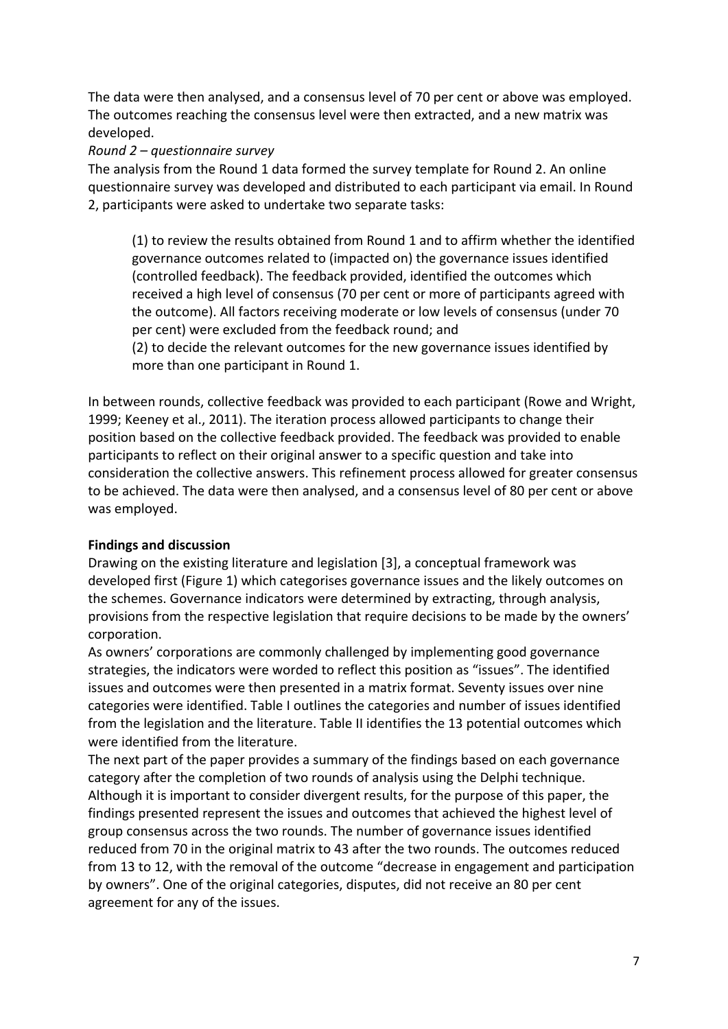The data were then analysed, and a consensus level of 70 per cent or above was employed. The outcomes reaching the consensus level were then extracted, and a new matrix was developed.

## *Round 2 – questionnaire survey*

The analysis from the Round 1 data formed the survey template for Round 2. An online questionnaire survey was developed and distributed to each participant via email. In Round 2, participants were asked to undertake two separate tasks:

(1) to review the results obtained from Round 1 and to affirm whether the identified governance outcomes related to (impacted on) the governance issues identified (controlled feedback). The feedback provided, identified the outcomes which received a high level of consensus (70 per cent or more of participants agreed with the outcome). All factors receiving moderate or low levels of consensus (under 70 per cent) were excluded from the feedback round; and

(2) to decide the relevant outcomes for the new governance issues identified by more than one participant in Round 1.

In between rounds, collective feedback was provided to each participant (Rowe and Wright, 1999; Keeney et al., 2011). The iteration process allowed participants to change their position based on the collective feedback provided. The feedback was provided to enable participants to reflect on their original answer to a specific question and take into consideration the collective answers. This refinement process allowed for greater consensus to be achieved. The data were then analysed, and a consensus level of 80 per cent or above was employed.

# **Findings and discussion**

Drawing on the existing literature and legislation [3], a conceptual framework was developed first (Figure 1) which categorises governance issues and the likely outcomes on the schemes. Governance indicators were determined by extracting, through analysis, provisions from the respective legislation that require decisions to be made by the owners' corporation.

As owners' corporations are commonly challenged by implementing good governance strategies, the indicators were worded to reflect this position as "issues". The identified issues and outcomes were then presented in a matrix format. Seventy issues over nine categories were identified. Table I outlines the categories and number of issues identified from the legislation and the literature. Table II identifies the 13 potential outcomes which were identified from the literature.

The next part of the paper provides a summary of the findings based on each governance category after the completion of two rounds of analysis using the Delphi technique. Although it is important to consider divergent results, for the purpose of this paper, the findings presented represent the issues and outcomes that achieved the highest level of group consensus across the two rounds. The number of governance issues identified reduced from 70 in the original matrix to 43 after the two rounds. The outcomes reduced from 13 to 12, with the removal of the outcome "decrease in engagement and participation by owners". One of the original categories, disputes, did not receive an 80 per cent agreement for any of the issues.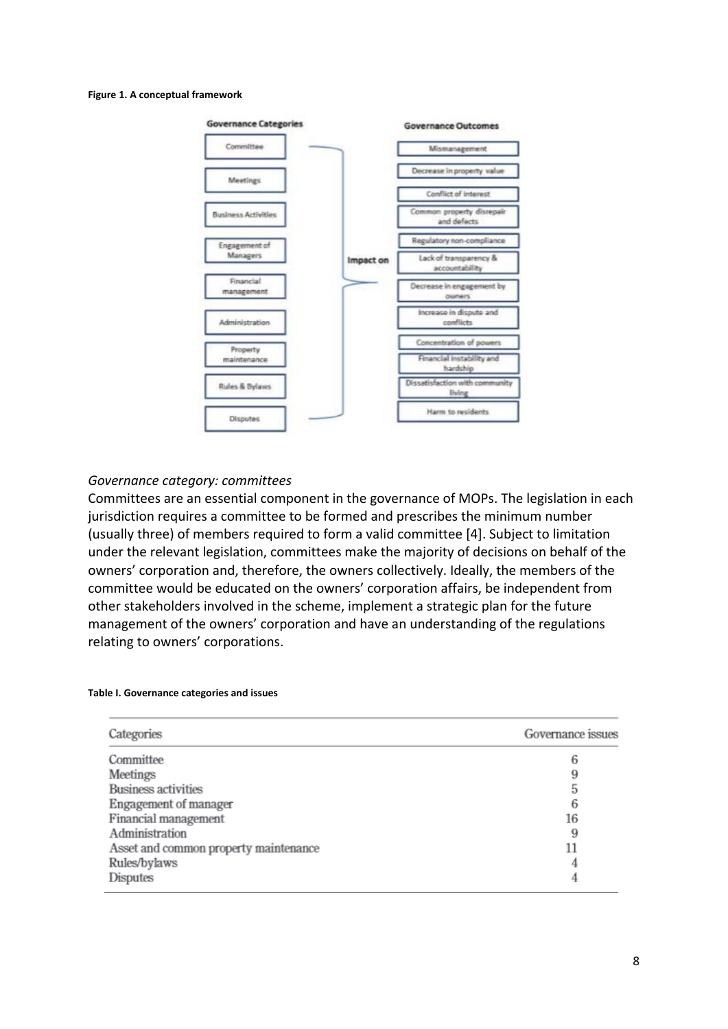#### **Figure 1. A conceptual framework**



## *Governance category: committees*

Committees are an essential component in the governance of MOPs. The legislation in each jurisdiction requires a committee to be formed and prescribes the minimum number (usually three) of members required to form a valid committee [4]. Subject to limitation under the relevant legislation, committees make the majority of decisions on behalf of the owners' corporation and, therefore, the owners collectively. Ideally, the members of the committee would be educated on the owners' corporation affairs, be independent from other stakeholders involved in the scheme, implement a strategic plan for the future management of the owners' corporation and have an understanding of the regulations relating to owners' corporations.

| <b>TODIC IT OUTCHTONIC COLORUM</b> COMMISSION |  |  |
|-----------------------------------------------|--|--|
|                                               |  |  |
|                                               |  |  |

**Table I. Governance categories and issues**

| Categories                            | Governance issues |  |
|---------------------------------------|-------------------|--|
| <b>Committee</b>                      | 6                 |  |
| Meetings                              | 9                 |  |
| <b>Business activities</b>            | 5                 |  |
| Engagement of manager                 | 6                 |  |
| Financial management                  | 16                |  |
| Administration                        | 9                 |  |
| Asset and common property maintenance | 11                |  |
| Rules/bylaws                          |                   |  |
| <b>Disputes</b>                       |                   |  |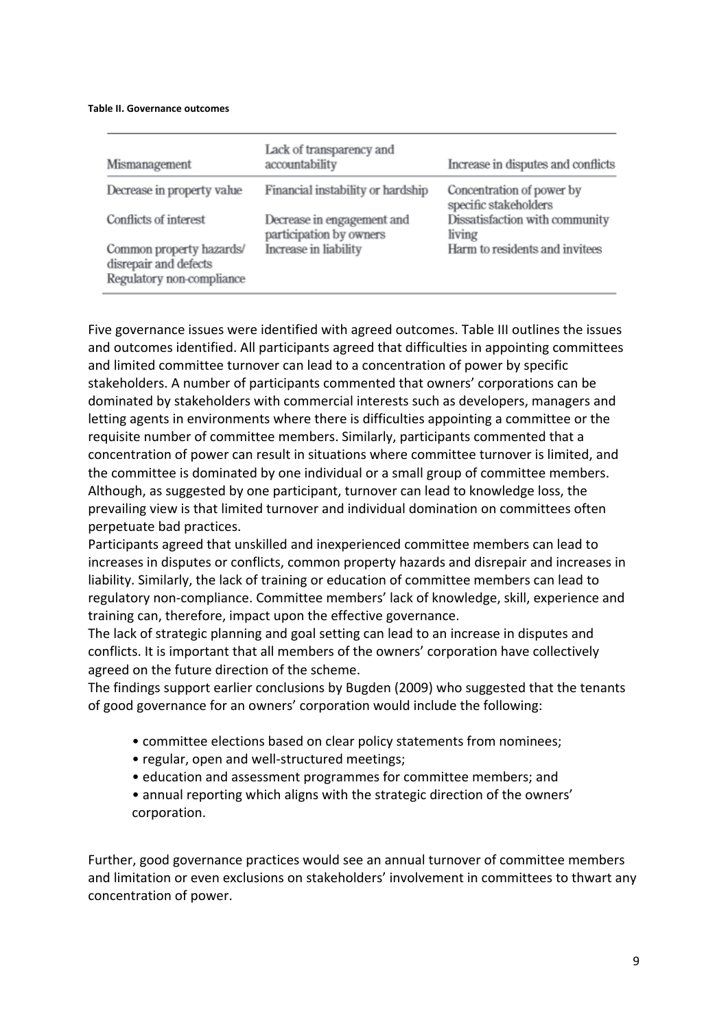#### **Table II. Governance outcomes**

| Mismanagement                                                                  | Lack of transparency and<br>accountability            | Increase in disputes and conflicts                 |
|--------------------------------------------------------------------------------|-------------------------------------------------------|----------------------------------------------------|
| Decrease in property value                                                     | Financial instability or hardship                     | Concentration of power by<br>specific stakeholders |
| Conflicts of interest                                                          | Decrease in engagement and<br>participation by owners | Dissatisfaction with community<br>living           |
| Common property hazards/<br>disrepair and defects<br>Regulatory non-compliance | Increase in liability                                 | Harm to residents and invitees                     |

Five governance issues were identified with agreed outcomes. Table III outlines the issues and outcomes identified. All participants agreed that difficulties in appointing committees and limited committee turnover can lead to a concentration of power by specific stakeholders. A number of participants commented that owners' corporations can be dominated by stakeholders with commercial interests such as developers, managers and letting agents in environments where there is difficulties appointing a committee or the requisite number of committee members. Similarly, participants commented that a concentration of power can result in situations where committee turnover is limited, and the committee is dominated by one individual or a small group of committee members. Although, as suggested by one participant, turnover can lead to knowledge loss, the prevailing view is that limited turnover and individual domination on committees often perpetuate bad practices.

Participants agreed that unskilled and inexperienced committee members can lead to increases in disputes or conflicts, common property hazards and disrepair and increases in liability. Similarly, the lack of training or education of committee members can lead to regulatory non‐compliance. Committee members' lack of knowledge, skill, experience and training can, therefore, impact upon the effective governance.

The lack of strategic planning and goal setting can lead to an increase in disputes and conflicts. It is important that all members of the owners' corporation have collectively agreed on the future direction of the scheme.

The findings support earlier conclusions by Bugden (2009) who suggested that the tenants of good governance for an owners' corporation would include the following:

- committee elections based on clear policy statements from nominees;
- regular, open and well‐structured meetings;
- education and assessment programmes for committee members; and
- annual reporting which aligns with the strategic direction of the owners' corporation.

Further, good governance practices would see an annual turnover of committee members and limitation or even exclusions on stakeholders' involvement in committees to thwart any concentration of power.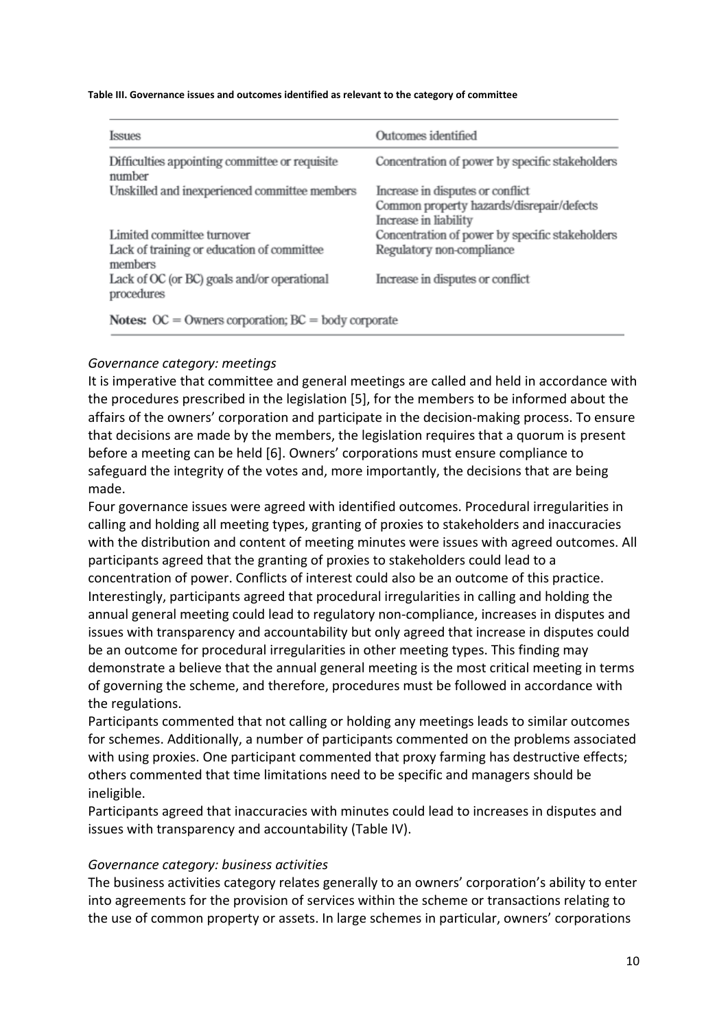#### **Table III. Governance issues and outcomes identified as relevant to the category of committee**

| <b>Issues</b>                                                | Outcomes identified                                                                                    |
|--------------------------------------------------------------|--------------------------------------------------------------------------------------------------------|
| Difficulties appointing committee or requisite<br>number     | Concentration of power by specific stakeholders                                                        |
| Unskilled and inexperienced committee members                | Increase in disputes or conflict<br>Common property hazards/disrepair/defects<br>Increase in liability |
| Limited committee turnover                                   | Concentration of power by specific stakeholders                                                        |
| Lack of training or education of committee<br>members        | Regulatory non-compliance                                                                              |
| Lack of OC (or BC) goals and/or operational<br>procedures    | Increase in disputes or conflict                                                                       |
| <b>Notes:</b> $OC = Owners corporation; BC = body corporate$ |                                                                                                        |

## *Governance category: meetings*

It is imperative that committee and general meetings are called and held in accordance with the procedures prescribed in the legislation [5], for the members to be informed about the affairs of the owners' corporation and participate in the decision‐making process. To ensure that decisions are made by the members, the legislation requires that a quorum is present before a meeting can be held [6]. Owners' corporations must ensure compliance to safeguard the integrity of the votes and, more importantly, the decisions that are being made.

Four governance issues were agreed with identified outcomes. Procedural irregularities in calling and holding all meeting types, granting of proxies to stakeholders and inaccuracies with the distribution and content of meeting minutes were issues with agreed outcomes. All participants agreed that the granting of proxies to stakeholders could lead to a concentration of power. Conflicts of interest could also be an outcome of this practice. Interestingly, participants agreed that procedural irregularities in calling and holding the annual general meeting could lead to regulatory non‐compliance, increases in disputes and issues with transparency and accountability but only agreed that increase in disputes could be an outcome for procedural irregularities in other meeting types. This finding may demonstrate a believe that the annual general meeting is the most critical meeting in terms of governing the scheme, and therefore, procedures must be followed in accordance with the regulations.

Participants commented that not calling or holding any meetings leads to similar outcomes for schemes. Additionally, a number of participants commented on the problems associated with using proxies. One participant commented that proxy farming has destructive effects; others commented that time limitations need to be specific and managers should be ineligible.

Participants agreed that inaccuracies with minutes could lead to increases in disputes and issues with transparency and accountability (Table IV).

## *Governance category: business activities*

The business activities category relates generally to an owners' corporation's ability to enter into agreements for the provision of services within the scheme or transactions relating to the use of common property or assets. In large schemes in particular, owners' corporations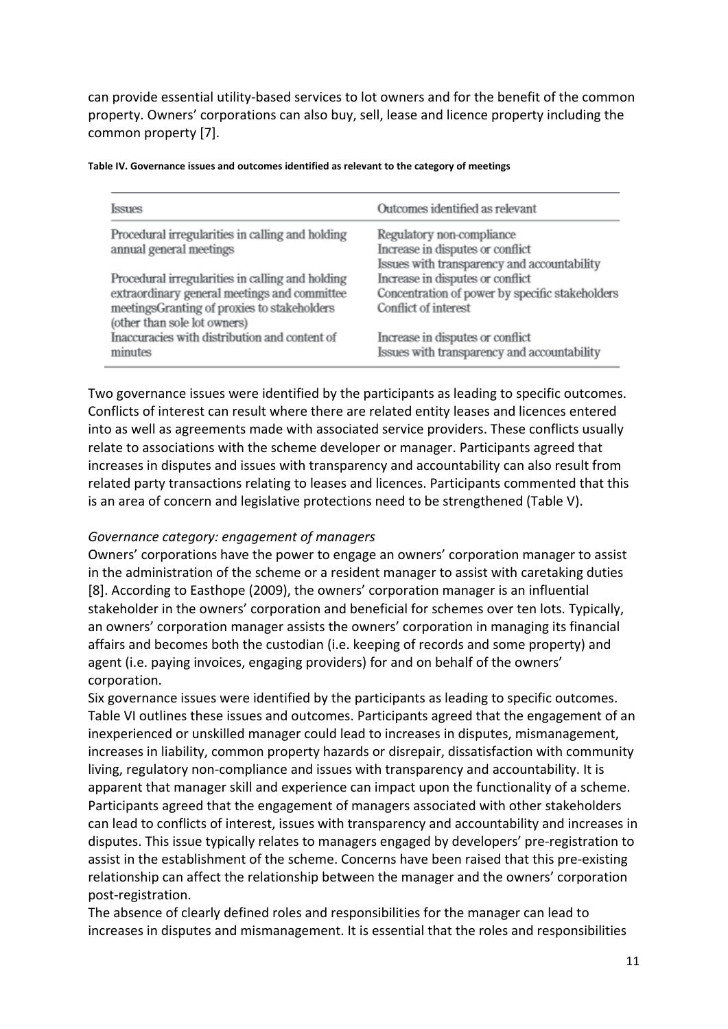can provide essential utility‐based services to lot owners and for the benefit of the common property. Owners' corporations can also buy, sell, lease and licence property including the common property [7].

| <b>Issues</b>                                    | Outcomes identified as relevant                 |
|--------------------------------------------------|-------------------------------------------------|
| Procedural irregularities in calling and holding | Regulatory non-compliance                       |
| annual general meetings                          | Increase in disputes or conflict                |
|                                                  | Issues with transparency and accountability     |
| Procedural irregularities in calling and holding | Increase in disputes or conflict                |
| extraordinary general meetings and committee     | Concentration of power by specific stakeholders |
| meetingsGranting of proxies to stakeholders      | Conflict of interest                            |
| (other than sole lot owners)                     |                                                 |
| Inaccuracies with distribution and content of    | Increase in disputes or conflict                |
| minutes                                          | Issues with transparency and accountability     |

## **Table IV. Governance issues and outcomes identified as relevant to the category of meetings**

Two governance issues were identified by the participants as leading to specific outcomes. Conflicts of interest can result where there are related entity leases and licences entered into as well as agreements made with associated service providers. These conflicts usually relate to associations with the scheme developer or manager. Participants agreed that increases in disputes and issues with transparency and accountability can also result from related party transactions relating to leases and licences. Participants commented that this is an area of concern and legislative protections need to be strengthened (Table V).

## *Governance category: engagement of managers*

Owners' corporations have the power to engage an owners' corporation manager to assist in the administration of the scheme or a resident manager to assist with caretaking duties [8]. According to Easthope (2009), the owners' corporation manager is an influential stakeholder in the owners' corporation and beneficial for schemes over ten lots. Typically, an owners' corporation manager assists the owners' corporation in managing its financial affairs and becomes both the custodian (i.e. keeping of records and some property) and agent (i.e. paying invoices, engaging providers) for and on behalf of the owners' corporation.

Six governance issues were identified by the participants as leading to specific outcomes. Table VI outlines these issues and outcomes. Participants agreed that the engagement of an inexperienced or unskilled manager could lead to increases in disputes, mismanagement, increases in liability, common property hazards or disrepair, dissatisfaction with community living, regulatory non-compliance and issues with transparency and accountability. It is apparent that manager skill and experience can impact upon the functionality of a scheme. Participants agreed that the engagement of managers associated with other stakeholders can lead to conflicts of interest, issues with transparency and accountability and increases in disputes. This issue typically relates to managers engaged by developers' pre‐registration to assist in the establishment of the scheme. Concerns have been raised that this pre‐existing relationship can affect the relationship between the manager and the owners' corporation post‐registration.

The absence of clearly defined roles and responsibilities for the manager can lead to increases in disputes and mismanagement. It is essential that the roles and responsibilities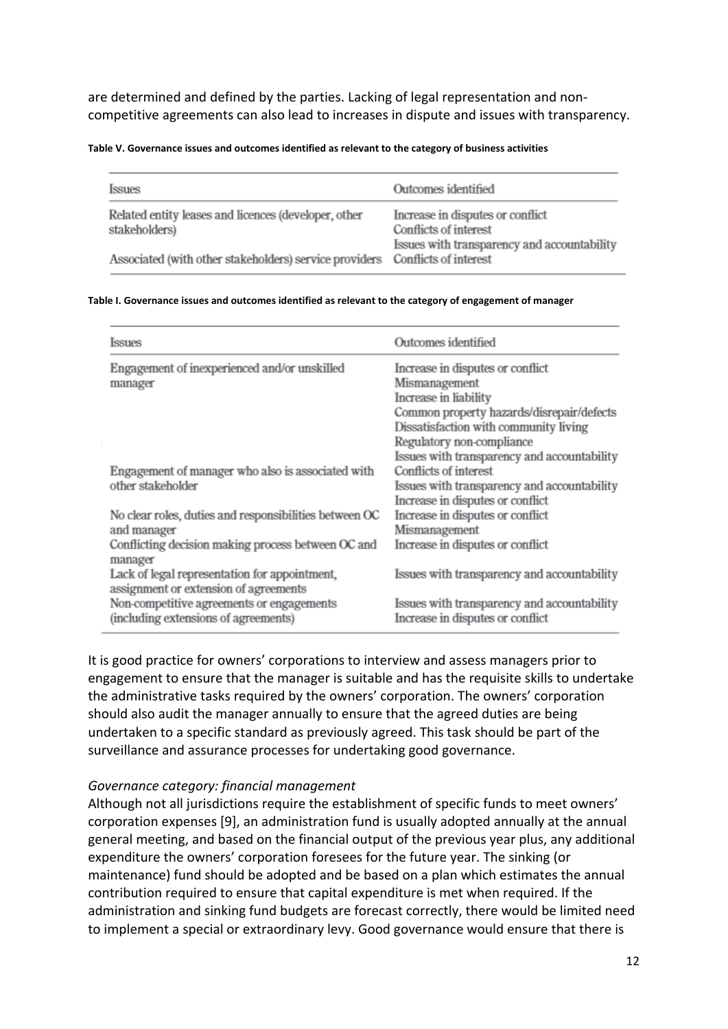are determined and defined by the parties. Lacking of legal representation and non‐ competitive agreements can also lead to increases in dispute and issues with transparency.

| Table V. Governance issues and outcomes identified as relevant to the category of business activities |  |  |  |
|-------------------------------------------------------------------------------------------------------|--|--|--|
|                                                                                                       |  |  |  |

| <b>Issues</b>                                                                | Outcomes identified                                       |
|------------------------------------------------------------------------------|-----------------------------------------------------------|
| Related entity leases and licences (developer, other<br>stakeholders)        | Increase in disputes or conflict<br>Conflicts of interest |
| Associated (with other stakeholders) service providers Conflicts of interest | Issues with transparency and accountability               |

## **Table I. Governance issues and outcomes identified as relevant to the category of engagement of manager**

| Issues                                                                                 | Outcomes identified                                                             |
|----------------------------------------------------------------------------------------|---------------------------------------------------------------------------------|
| Engagement of inexperienced and/or unskilled                                           | Increase in disputes or conflict                                                |
| manager                                                                                | Mismanagement                                                                   |
|                                                                                        | Increase in liability                                                           |
|                                                                                        | Common property hazards/disrepair/defects                                       |
|                                                                                        | Dissatisfaction with community living<br>Regulatory non-compliance              |
|                                                                                        | Issues with transparency and accountability                                     |
| Engagement of manager who also is associated with                                      | Conflicts of interest                                                           |
| other stakeholder                                                                      | Issues with transparency and accountability                                     |
|                                                                                        | Increase in disputes or conflict                                                |
| No clear roles, duties and responsibilities between OC                                 | Increase in disputes or conflict                                                |
| and manager                                                                            | Mismanagement                                                                   |
| Conflicting decision making process between OC and<br>manager                          | Increase in disputes or conflict                                                |
| Lack of legal representation for appointment,<br>assignment or extension of agreements | Issues with transparency and accountability                                     |
| Non-competitive agreements or engagements<br>(including extensions of agreements)      | Issues with transparency and accountability<br>Increase in disputes or conflict |

It is good practice for owners' corporations to interview and assess managers prior to engagement to ensure that the manager is suitable and has the requisite skills to undertake the administrative tasks required by the owners' corporation. The owners' corporation should also audit the manager annually to ensure that the agreed duties are being undertaken to a specific standard as previously agreed. This task should be part of the surveillance and assurance processes for undertaking good governance.

## *Governance category: financial management*

Although not all jurisdictions require the establishment of specific funds to meet owners' corporation expenses [9], an administration fund is usually adopted annually at the annual general meeting, and based on the financial output of the previous year plus, any additional expenditure the owners' corporation foresees for the future year. The sinking (or maintenance) fund should be adopted and be based on a plan which estimates the annual contribution required to ensure that capital expenditure is met when required. If the administration and sinking fund budgets are forecast correctly, there would be limited need to implement a special or extraordinary levy. Good governance would ensure that there is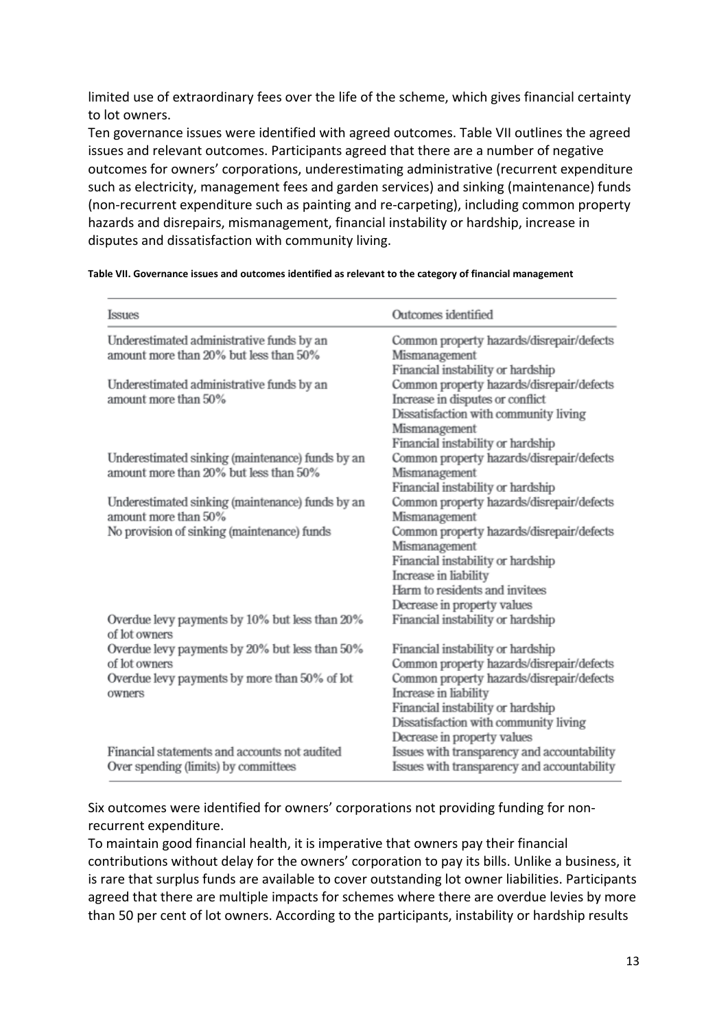limited use of extraordinary fees over the life of the scheme, which gives financial certainty to lot owners.

Ten governance issues were identified with agreed outcomes. Table VII outlines the agreed issues and relevant outcomes. Participants agreed that there are a number of negative outcomes for owners' corporations, underestimating administrative (recurrent expenditure such as electricity, management fees and garden services) and sinking (maintenance) funds (non‐recurrent expenditure such as painting and re‐carpeting), including common property hazards and disrepairs, mismanagement, financial instability or hardship, increase in disputes and dissatisfaction with community living.

| <b>Issues</b>                                                                         | Outcomes identified                                                                        |
|---------------------------------------------------------------------------------------|--------------------------------------------------------------------------------------------|
| Underestimated administrative funds by an                                             | Common property hazards/disrepair/defects                                                  |
| amount more than 20% but less than 50%                                                | Mismanagement                                                                              |
|                                                                                       | Financial instability or hardship                                                          |
| Underestimated administrative funds by an<br>amount more than 50%                     | Common property hazards/disrepair/defects<br>Increase in disputes or conflict              |
|                                                                                       | Dissatisfaction with community living<br>Mismanagement                                     |
|                                                                                       | Financial instability or hardship                                                          |
| Underestimated sinking (maintenance) funds by an                                      | Common property hazards/disrepair/defects                                                  |
| amount more than 20% but less than 50%                                                | Mismanagement                                                                              |
|                                                                                       | Financial instability or hardship                                                          |
| Underestimated sinking (maintenance) funds by an<br>amount more than 50%              | Common property hazards/disrepair/defects<br>Mismanagement                                 |
| No provision of sinking (maintenance) funds                                           | Common property hazards/disrepair/defects<br>Mismanagement                                 |
|                                                                                       | Financial instability or hardship<br>Increase in liability                                 |
|                                                                                       | Harm to residents and invitees                                                             |
|                                                                                       | Decrease in property values                                                                |
| Overdue levy payments by 10% but less than 20%<br>of lot owners                       | Financial instability or hardship                                                          |
| Overdue levy payments by 20% but less than 50%                                        | Financial instability or hardship                                                          |
| of lot owners                                                                         | Common property hazards/disrepair/defects                                                  |
| Overdue levy payments by more than 50% of lot                                         | Common property hazards/disrepair/defects                                                  |
| owners                                                                                | Increase in liability                                                                      |
|                                                                                       | Financial instability or hardship                                                          |
|                                                                                       | Dissatisfaction with community living                                                      |
|                                                                                       | Decrease in property values                                                                |
| Financial statements and accounts not audited<br>Over spending (limits) by committees | Issues with transparency and accountability<br>Issues with transparency and accountability |

#### **Table VII. Governance issues and outcomes identified as relevant to the category of financial management**

Six outcomes were identified for owners' corporations not providing funding for non‐ recurrent expenditure.

To maintain good financial health, it is imperative that owners pay their financial contributions without delay for the owners' corporation to pay its bills. Unlike a business, it is rare that surplus funds are available to cover outstanding lot owner liabilities. Participants agreed that there are multiple impacts for schemes where there are overdue levies by more than 50 per cent of lot owners. According to the participants, instability or hardship results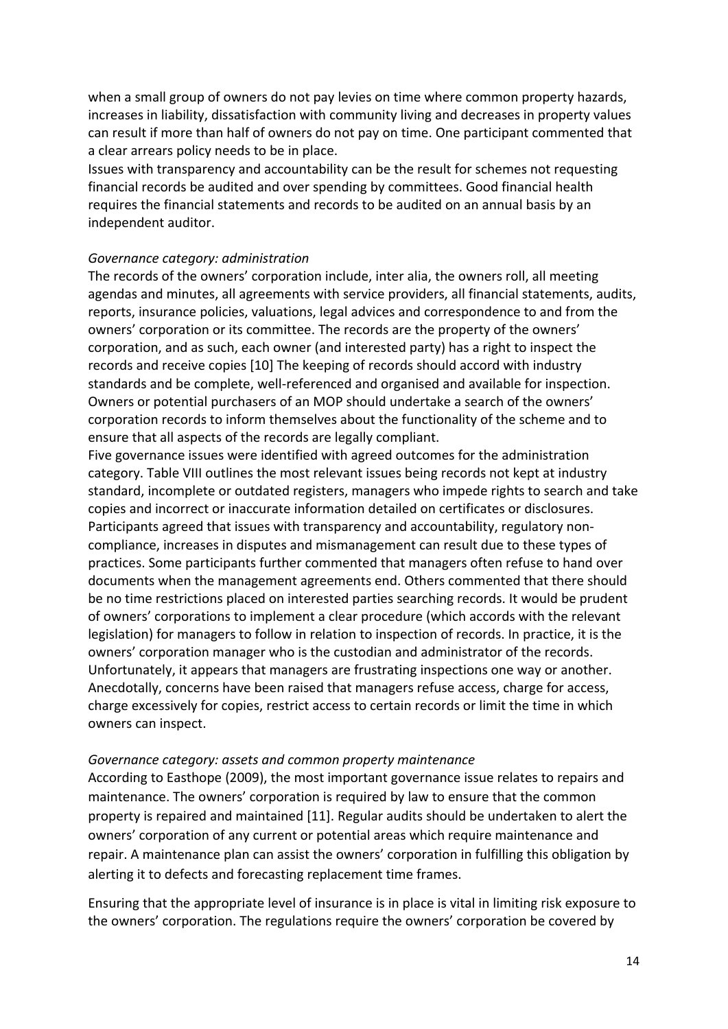when a small group of owners do not pay levies on time where common property hazards, increases in liability, dissatisfaction with community living and decreases in property values can result if more than half of owners do not pay on time. One participant commented that a clear arrears policy needs to be in place.

Issues with transparency and accountability can be the result for schemes not requesting financial records be audited and over spending by committees. Good financial health requires the financial statements and records to be audited on an annual basis by an independent auditor.

## *Governance category: administration*

The records of the owners' corporation include, inter alia, the owners roll, all meeting agendas and minutes, all agreements with service providers, all financial statements, audits, reports, insurance policies, valuations, legal advices and correspondence to and from the owners' corporation or its committee. The records are the property of the owners' corporation, and as such, each owner (and interested party) has a right to inspect the records and receive copies [10] The keeping of records should accord with industry standards and be complete, well‐referenced and organised and available for inspection. Owners or potential purchasers of an MOP should undertake a search of the owners' corporation records to inform themselves about the functionality of the scheme and to ensure that all aspects of the records are legally compliant.

Five governance issues were identified with agreed outcomes for the administration category. Table VIII outlines the most relevant issues being records not kept at industry standard, incomplete or outdated registers, managers who impede rights to search and take copies and incorrect or inaccurate information detailed on certificates or disclosures. Participants agreed that issues with transparency and accountability, regulatory non‐ compliance, increases in disputes and mismanagement can result due to these types of practices. Some participants further commented that managers often refuse to hand over documents when the management agreements end. Others commented that there should be no time restrictions placed on interested parties searching records. It would be prudent of owners' corporations to implement a clear procedure (which accords with the relevant legislation) for managers to follow in relation to inspection of records. In practice, it is the owners' corporation manager who is the custodian and administrator of the records. Unfortunately, it appears that managers are frustrating inspections one way or another. Anecdotally, concerns have been raised that managers refuse access, charge for access, charge excessively for copies, restrict access to certain records or limit the time in which owners can inspect.

## *Governance category: assets and common property maintenance*

According to Easthope (2009), the most important governance issue relates to repairs and maintenance. The owners' corporation is required by law to ensure that the common property is repaired and maintained [11]. Regular audits should be undertaken to alert the owners' corporation of any current or potential areas which require maintenance and repair. A maintenance plan can assist the owners' corporation in fulfilling this obligation by alerting it to defects and forecasting replacement time frames.

Ensuring that the appropriate level of insurance is in place is vital in limiting risk exposure to the owners' corporation. The regulations require the owners' corporation be covered by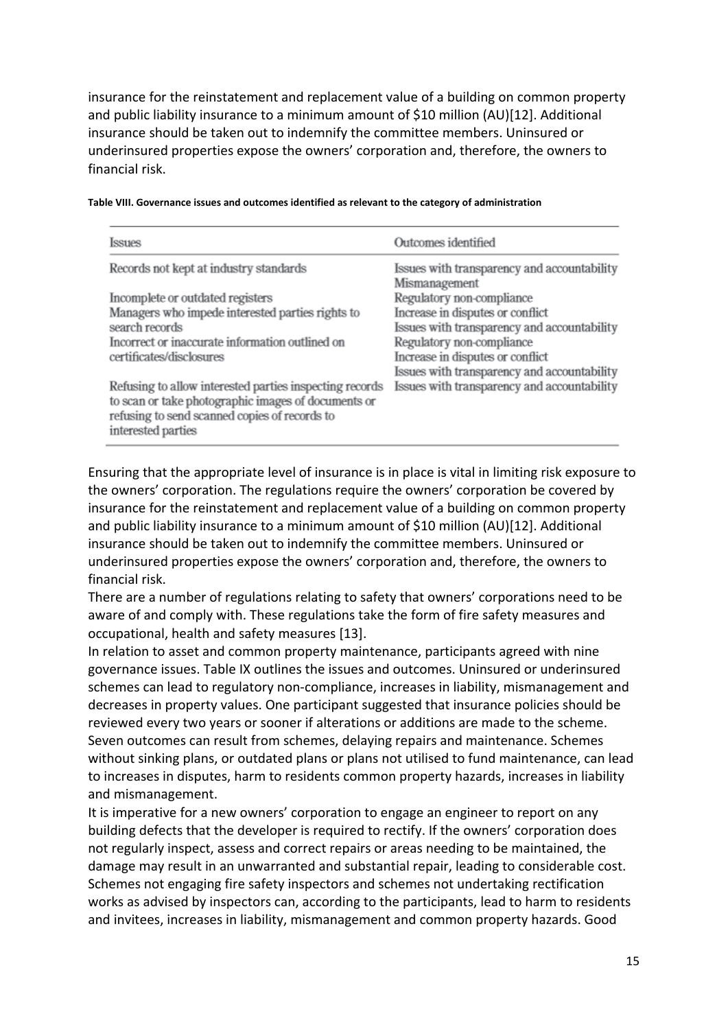insurance for the reinstatement and replacement value of a building on common property and public liability insurance to a minimum amount of \$10 million (AU)[12]. Additional insurance should be taken out to indemnify the committee members. Uninsured or underinsured properties expose the owners' corporation and, therefore, the owners to financial risk.

| <b>Issues</b>                                           | Outcomes identified                                          |
|---------------------------------------------------------|--------------------------------------------------------------|
| Records not kept at industry standards                  | Issues with transparency and accountability<br>Mismanagement |
| Incomplete or outdated registers                        | Regulatory non-compliance                                    |
| Managers who impede interested parties rights to        | Increase in disputes or conflict                             |
| search records                                          | Issues with transparency and accountability                  |
| Incorrect or inaccurate information outlined on         | Regulatory non-compliance                                    |
| certificates/disclosures                                | Increase in disputes or conflict                             |
|                                                         | Issues with transparency and accountability                  |
| Refusing to allow interested parties inspecting records | Issues with transparency and accountability                  |
| to scan or take photographic images of documents or     |                                                              |
| refusing to send scanned copies of records to           |                                                              |
| interested parties                                      |                                                              |

#### **Table VIII. Governance issues and outcomes identified as relevant to the category of administration**

Ensuring that the appropriate level of insurance is in place is vital in limiting risk exposure to the owners' corporation. The regulations require the owners' corporation be covered by insurance for the reinstatement and replacement value of a building on common property and public liability insurance to a minimum amount of \$10 million (AU)[12]. Additional insurance should be taken out to indemnify the committee members. Uninsured or underinsured properties expose the owners' corporation and, therefore, the owners to financial risk.

There are a number of regulations relating to safety that owners' corporations need to be aware of and comply with. These regulations take the form of fire safety measures and occupational, health and safety measures [13].

In relation to asset and common property maintenance, participants agreed with nine governance issues. Table IX outlines the issues and outcomes. Uninsured or underinsured schemes can lead to regulatory non‐compliance, increases in liability, mismanagement and decreases in property values. One participant suggested that insurance policies should be reviewed every two years or sooner if alterations or additions are made to the scheme. Seven outcomes can result from schemes, delaying repairs and maintenance. Schemes without sinking plans, or outdated plans or plans not utilised to fund maintenance, can lead to increases in disputes, harm to residents common property hazards, increases in liability and mismanagement.

It is imperative for a new owners' corporation to engage an engineer to report on any building defects that the developer is required to rectify. If the owners' corporation does not regularly inspect, assess and correct repairs or areas needing to be maintained, the damage may result in an unwarranted and substantial repair, leading to considerable cost. Schemes not engaging fire safety inspectors and schemes not undertaking rectification works as advised by inspectors can, according to the participants, lead to harm to residents and invitees, increases in liability, mismanagement and common property hazards. Good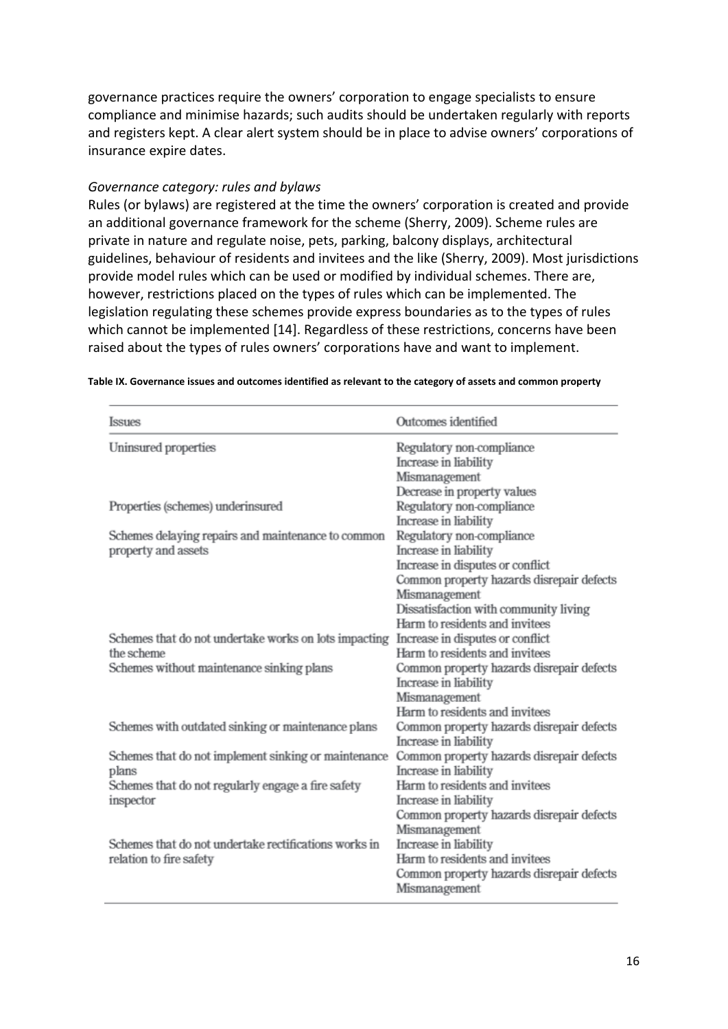governance practices require the owners' corporation to engage specialists to ensure compliance and minimise hazards; such audits should be undertaken regularly with reports and registers kept. A clear alert system should be in place to advise owners' corporations of insurance expire dates.

## *Governance category: rules and bylaws*

Rules (or bylaws) are registered at the time the owners' corporation is created and provide an additional governance framework for the scheme (Sherry, 2009). Scheme rules are private in nature and regulate noise, pets, parking, balcony displays, architectural guidelines, behaviour of residents and invitees and the like (Sherry, 2009). Most jurisdictions provide model rules which can be used or modified by individual schemes. There are, however, restrictions placed on the types of rules which can be implemented. The legislation regulating these schemes provide express boundaries as to the types of rules which cannot be implemented [14]. Regardless of these restrictions, concerns have been raised about the types of rules owners' corporations have and want to implement.

| <b>Issues</b>                                                                                                                    | Outcomes identified                                                                                                                                                                                                             |
|----------------------------------------------------------------------------------------------------------------------------------|---------------------------------------------------------------------------------------------------------------------------------------------------------------------------------------------------------------------------------|
| Uninsured properties                                                                                                             | Regulatory non-compliance<br>Increase in liability<br>Mismanagement<br>Decrease in property values                                                                                                                              |
| Properties (schemes) underinsured                                                                                                | Regulatory non-compliance<br>Increase in liability                                                                                                                                                                              |
| Schemes delaying repairs and maintenance to common<br>property and assets                                                        | Regulatory non-compliance<br>Increase in liability<br>Increase in disputes or conflict<br>Common property hazards disrepair defects<br>Mismanagement<br>Dissatisfaction with community living<br>Harm to residents and invitees |
| Schemes that do not undertake works on lots impacting<br>the scheme<br>Schemes without maintenance sinking plans                 | Increase in disputes or conflict<br>Harm to residents and invitees<br>Common property hazards disrepair defects<br>Increase in liability<br>Mismanagement<br>Harm to residents and invitees                                     |
| Schemes with outdated sinking or maintenance plans                                                                               | Common property hazards disrepair defects<br>Increase in liability                                                                                                                                                              |
| Schemes that do not implement sinking or maintenance<br>plans<br>Schemes that do not regularly engage a fire safety<br>inspector | Common property hazards disrepair defects<br>Increase in liability<br>Harm to residents and invitees<br>Increase in liability<br>Common property hazards disrepair defects<br>Mismanagement                                     |
| Schemes that do not undertake rectifications works in<br>relation to fire safety                                                 | Increase in liability<br>Harm to residents and invitees<br>Common property hazards disrepair defects<br>Mismanagement                                                                                                           |

#### Table IX. Governance issues and outcomes identified as relevant to the category of assets and common property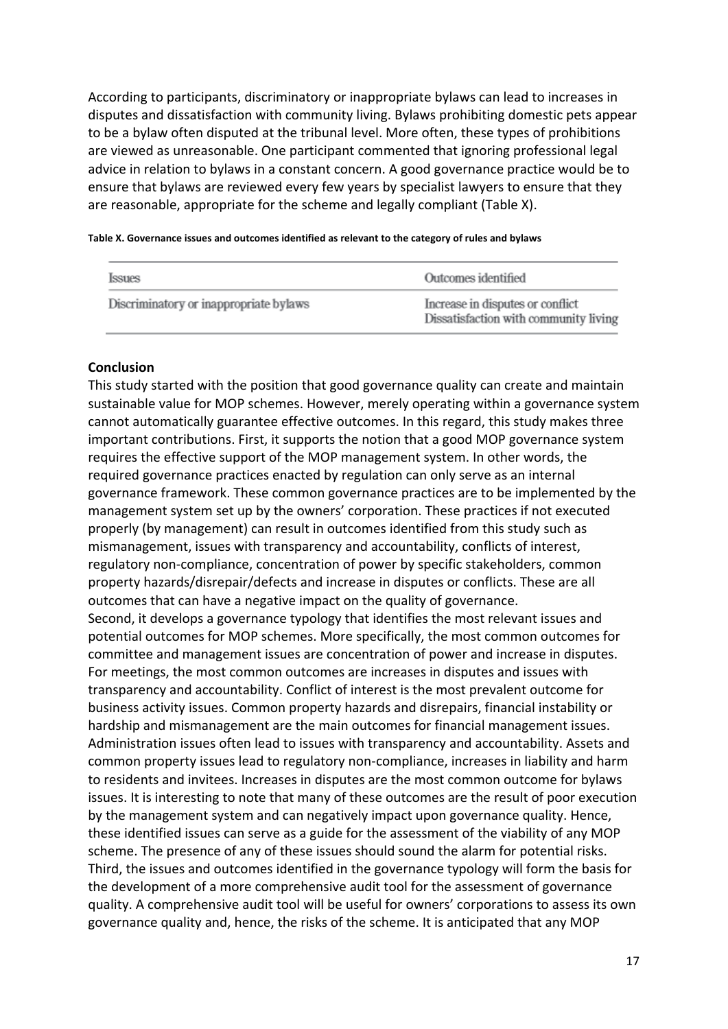According to participants, discriminatory or inappropriate bylaws can lead to increases in disputes and dissatisfaction with community living. Bylaws prohibiting domestic pets appear to be a bylaw often disputed at the tribunal level. More often, these types of prohibitions are viewed as unreasonable. One participant commented that ignoring professional legal advice in relation to bylaws in a constant concern. A good governance practice would be to ensure that bylaws are reviewed every few years by specialist lawyers to ensure that they are reasonable, appropriate for the scheme and legally compliant (Table X).

| Table X. Governance issues and outcomes identified as relevant to the category of rules and bylaws |
|----------------------------------------------------------------------------------------------------|
|                                                                                                    |

| <b>Issues</b>                          | Outcomes identified                                                       |
|----------------------------------------|---------------------------------------------------------------------------|
| Discriminatory or inappropriate bylaws | Increase in disputes or conflict<br>Dissatisfaction with community living |

## **Conclusion**

This study started with the position that good governance quality can create and maintain sustainable value for MOP schemes. However, merely operating within a governance system cannot automatically guarantee effective outcomes. In this regard, this study makes three important contributions. First, it supports the notion that a good MOP governance system requires the effective support of the MOP management system. In other words, the required governance practices enacted by regulation can only serve as an internal governance framework. These common governance practices are to be implemented by the management system set up by the owners' corporation. These practices if not executed properly (by management) can result in outcomes identified from this study such as mismanagement, issues with transparency and accountability, conflicts of interest, regulatory non‐compliance, concentration of power by specific stakeholders, common property hazards/disrepair/defects and increase in disputes or conflicts. These are all outcomes that can have a negative impact on the quality of governance. Second, it develops a governance typology that identifies the most relevant issues and potential outcomes for MOP schemes. More specifically, the most common outcomes for committee and management issues are concentration of power and increase in disputes. For meetings, the most common outcomes are increases in disputes and issues with transparency and accountability. Conflict of interest is the most prevalent outcome for business activity issues. Common property hazards and disrepairs, financial instability or hardship and mismanagement are the main outcomes for financial management issues. Administration issues often lead to issues with transparency and accountability. Assets and common property issues lead to regulatory non‐compliance, increases in liability and harm to residents and invitees. Increases in disputes are the most common outcome for bylaws issues. It is interesting to note that many of these outcomes are the result of poor execution by the management system and can negatively impact upon governance quality. Hence, these identified issues can serve as a guide for the assessment of the viability of any MOP scheme. The presence of any of these issues should sound the alarm for potential risks. Third, the issues and outcomes identified in the governance typology will form the basis for the development of a more comprehensive audit tool for the assessment of governance quality. A comprehensive audit tool will be useful for owners' corporations to assess its own governance quality and, hence, the risks of the scheme. It is anticipated that any MOP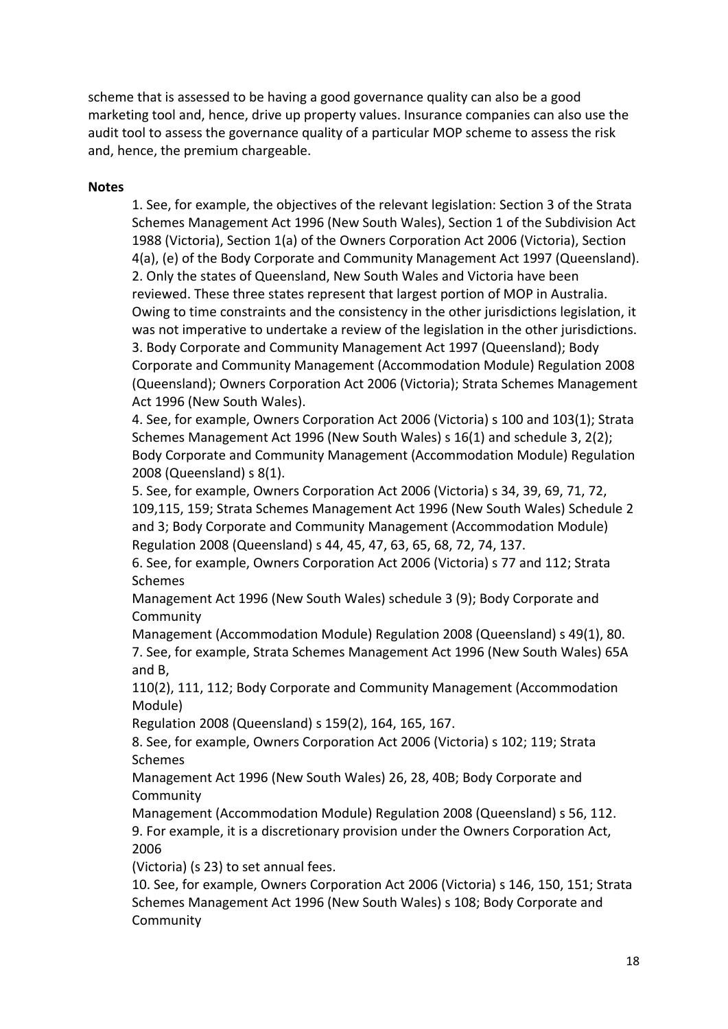scheme that is assessed to be having a good governance quality can also be a good marketing tool and, hence, drive up property values. Insurance companies can also use the audit tool to assess the governance quality of a particular MOP scheme to assess the risk and, hence, the premium chargeable.

## **Notes**

1. See, for example, the objectives of the relevant legislation: Section 3 of the Strata Schemes Management Act 1996 (New South Wales), Section 1 of the Subdivision Act 1988 (Victoria), Section 1(a) of the Owners Corporation Act 2006 (Victoria), Section 4(a), (e) of the Body Corporate and Community Management Act 1997 (Queensland). 2. Only the states of Queensland, New South Wales and Victoria have been reviewed. These three states represent that largest portion of MOP in Australia. Owing to time constraints and the consistency in the other jurisdictions legislation, it was not imperative to undertake a review of the legislation in the other jurisdictions. 3. Body Corporate and Community Management Act 1997 (Queensland); Body Corporate and Community Management (Accommodation Module) Regulation 2008 (Queensland); Owners Corporation Act 2006 (Victoria); Strata Schemes Management Act 1996 (New South Wales).

4. See, for example, Owners Corporation Act 2006 (Victoria) s 100 and 103(1); Strata Schemes Management Act 1996 (New South Wales) s 16(1) and schedule 3, 2(2); Body Corporate and Community Management (Accommodation Module) Regulation 2008 (Queensland) s 8(1).

5. See, for example, Owners Corporation Act 2006 (Victoria) s 34, 39, 69, 71, 72, 109,115, 159; Strata Schemes Management Act 1996 (New South Wales) Schedule 2 and 3; Body Corporate and Community Management (Accommodation Module) Regulation 2008 (Queensland) s 44, 45, 47, 63, 65, 68, 72, 74, 137.

6. See, for example, Owners Corporation Act 2006 (Victoria) s 77 and 112; Strata Schemes

Management Act 1996 (New South Wales) schedule 3 (9); Body Corporate and **Community** 

Management (Accommodation Module) Regulation 2008 (Queensland) s 49(1), 80. 7. See, for example, Strata Schemes Management Act 1996 (New South Wales) 65A and B,

110(2), 111, 112; Body Corporate and Community Management (Accommodation Module)

Regulation 2008 (Queensland) s 159(2), 164, 165, 167.

8. See, for example, Owners Corporation Act 2006 (Victoria) s 102; 119; Strata Schemes

Management Act 1996 (New South Wales) 26, 28, 40B; Body Corporate and **Community** 

Management (Accommodation Module) Regulation 2008 (Queensland) s 56, 112. 9. For example, it is a discretionary provision under the Owners Corporation Act, 2006

(Victoria) (s 23) to set annual fees.

10. See, for example, Owners Corporation Act 2006 (Victoria) s 146, 150, 151; Strata Schemes Management Act 1996 (New South Wales) s 108; Body Corporate and **Community**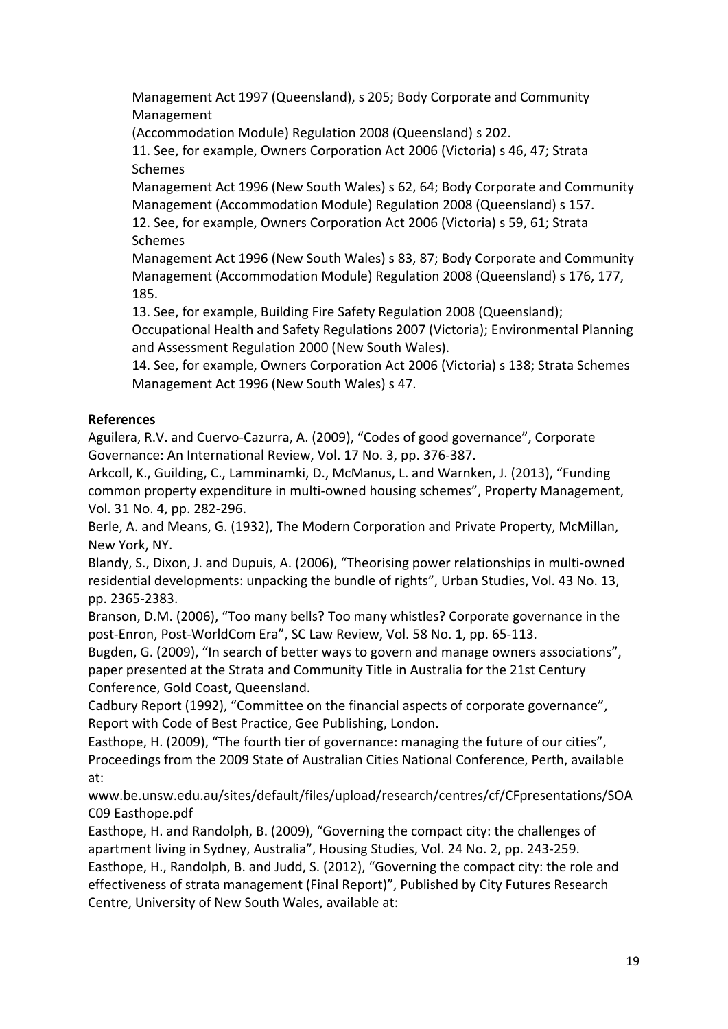Management Act 1997 (Queensland), s 205; Body Corporate and Community Management

(Accommodation Module) Regulation 2008 (Queensland) s 202.

11. See, for example, Owners Corporation Act 2006 (Victoria) s 46, 47; Strata Schemes

Management Act 1996 (New South Wales) s 62, 64; Body Corporate and Community Management (Accommodation Module) Regulation 2008 (Queensland) s 157.

12. See, for example, Owners Corporation Act 2006 (Victoria) s 59, 61; Strata Schemes

Management Act 1996 (New South Wales) s 83, 87; Body Corporate and Community Management (Accommodation Module) Regulation 2008 (Queensland) s 176, 177, 185.

13. See, for example, Building Fire Safety Regulation 2008 (Queensland); Occupational Health and Safety Regulations 2007 (Victoria); Environmental Planning

and Assessment Regulation 2000 (New South Wales).

14. See, for example, Owners Corporation Act 2006 (Victoria) s 138; Strata Schemes Management Act 1996 (New South Wales) s 47.

# **References**

Aguilera, R.V. and Cuervo‐Cazurra, A. (2009), "Codes of good governance", Corporate Governance: An International Review, Vol. 17 No. 3, pp. 376‐387.

Arkcoll, K., Guilding, C., Lamminamki, D., McManus, L. and Warnken, J. (2013), "Funding common property expenditure in multi‐owned housing schemes", Property Management, Vol. 31 No. 4, pp. 282‐296.

Berle, A. and Means, G. (1932), The Modern Corporation and Private Property, McMillan, New York, NY.

Blandy, S., Dixon, J. and Dupuis, A. (2006), "Theorising power relationships in multi‐owned residential developments: unpacking the bundle of rights", Urban Studies, Vol. 43 No. 13, pp. 2365‐2383.

Branson, D.M. (2006), "Too many bells? Too many whistles? Corporate governance in the post‐Enron, Post‐WorldCom Era", SC Law Review, Vol. 58 No. 1, pp. 65‐113.

Bugden, G. (2009), "In search of better ways to govern and manage owners associations", paper presented at the Strata and Community Title in Australia for the 21st Century Conference, Gold Coast, Queensland.

Cadbury Report (1992), "Committee on the financial aspects of corporate governance", Report with Code of Best Practice, Gee Publishing, London.

Easthope, H. (2009), "The fourth tier of governance: managing the future of our cities", Proceedings from the 2009 State of Australian Cities National Conference, Perth, available at:

www.be.unsw.edu.au/sites/default/files/upload/research/centres/cf/CFpresentations/SOA C09 Easthope.pdf

Easthope, H. and Randolph, B. (2009), "Governing the compact city: the challenges of apartment living in Sydney, Australia", Housing Studies, Vol. 24 No. 2, pp. 243‐259. Easthope, H., Randolph, B. and Judd, S. (2012), "Governing the compact city: the role and effectiveness of strata management (Final Report)", Published by City Futures Research Centre, University of New South Wales, available at: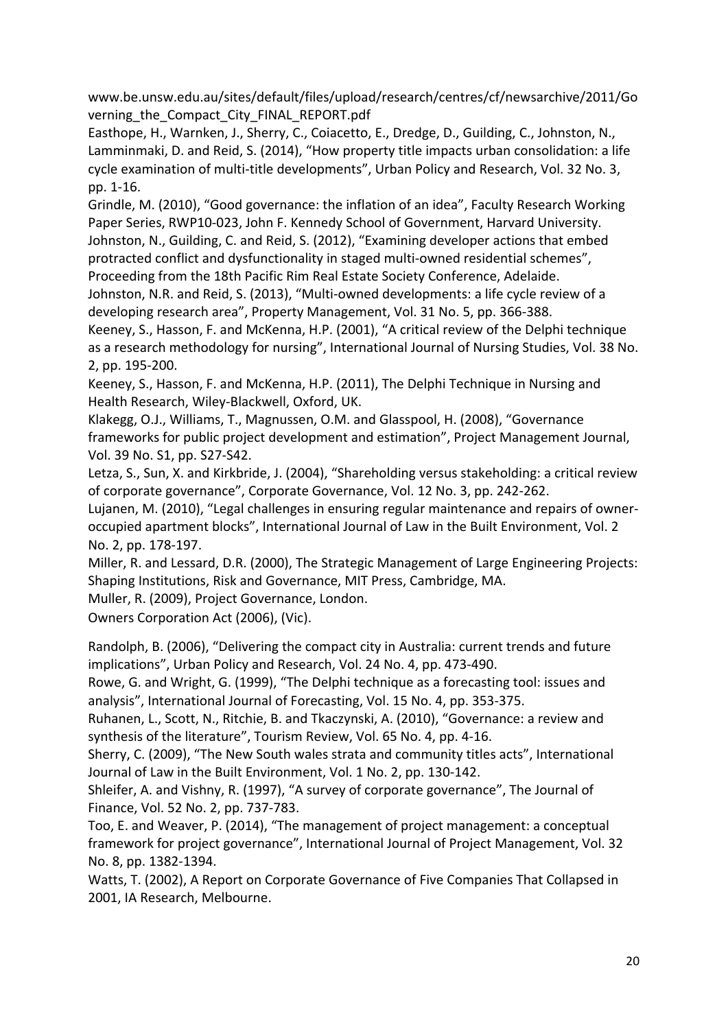www.be.unsw.edu.au/sites/default/files/upload/research/centres/cf/newsarchive/2011/Go verning the Compact City FINAL REPORT.pdf

Easthope, H., Warnken, J., Sherry, C., Coiacetto, E., Dredge, D., Guilding, C., Johnston, N., Lamminmaki, D. and Reid, S. (2014), "How property title impacts urban consolidation: a life cycle examination of multi‐title developments", Urban Policy and Research, Vol. 32 No. 3, pp. 1‐16.

Grindle, M. (2010), "Good governance: the inflation of an idea", Faculty Research Working Paper Series, RWP10‐023, John F. Kennedy School of Government, Harvard University. Johnston, N., Guilding, C. and Reid, S. (2012), "Examining developer actions that embed protracted conflict and dysfunctionality in staged multi-owned residential schemes", Proceeding from the 18th Pacific Rim Real Estate Society Conference, Adelaide.

Johnston, N.R. and Reid, S. (2013), "Multi‐owned developments: a life cycle review of a developing research area", Property Management, Vol. 31 No. 5, pp. 366‐388.

Keeney, S., Hasson, F. and McKenna, H.P. (2001), "A critical review of the Delphi technique as a research methodology for nursing", International Journal of Nursing Studies, Vol. 38 No. 2, pp. 195‐200.

Keeney, S., Hasson, F. and McKenna, H.P. (2011), The Delphi Technique in Nursing and Health Research, Wiley‐Blackwell, Oxford, UK.

Klakegg, O.J., Williams, T., Magnussen, O.M. and Glasspool, H. (2008), "Governance frameworks for public project development and estimation", Project Management Journal, Vol. 39 No. S1, pp. S27‐S42.

Letza, S., Sun, X. and Kirkbride, J. (2004), "Shareholding versus stakeholding: a critical review of corporate governance", Corporate Governance, Vol. 12 No. 3, pp. 242‐262.

Lujanen, M. (2010), "Legal challenges in ensuring regular maintenance and repairs of owner‐ occupied apartment blocks", International Journal of Law in the Built Environment, Vol. 2 No. 2, pp. 178‐197.

Miller, R. and Lessard, D.R. (2000), The Strategic Management of Large Engineering Projects: Shaping Institutions, Risk and Governance, MIT Press, Cambridge, MA.

Muller, R. (2009), Project Governance, London.

Owners Corporation Act (2006), (Vic).

Randolph, B. (2006), "Delivering the compact city in Australia: current trends and future implications", Urban Policy and Research, Vol. 24 No. 4, pp. 473‐490.

Rowe, G. and Wright, G. (1999), "The Delphi technique as a forecasting tool: issues and analysis", International Journal of Forecasting, Vol. 15 No. 4, pp. 353‐375.

Ruhanen, L., Scott, N., Ritchie, B. and Tkaczynski, A. (2010), "Governance: a review and synthesis of the literature", Tourism Review, Vol. 65 No. 4, pp. 4‐16.

Sherry, C. (2009), "The New South wales strata and community titles acts", International Journal of Law in the Built Environment, Vol. 1 No. 2, pp. 130‐142.

Shleifer, A. and Vishny, R. (1997), "A survey of corporate governance", The Journal of Finance, Vol. 52 No. 2, pp. 737‐783.

Too, E. and Weaver, P. (2014), "The management of project management: a conceptual framework for project governance", International Journal of Project Management, Vol. 32 No. 8, pp. 1382‐1394.

Watts, T. (2002), A Report on Corporate Governance of Five Companies That Collapsed in 2001, IA Research, Melbourne.